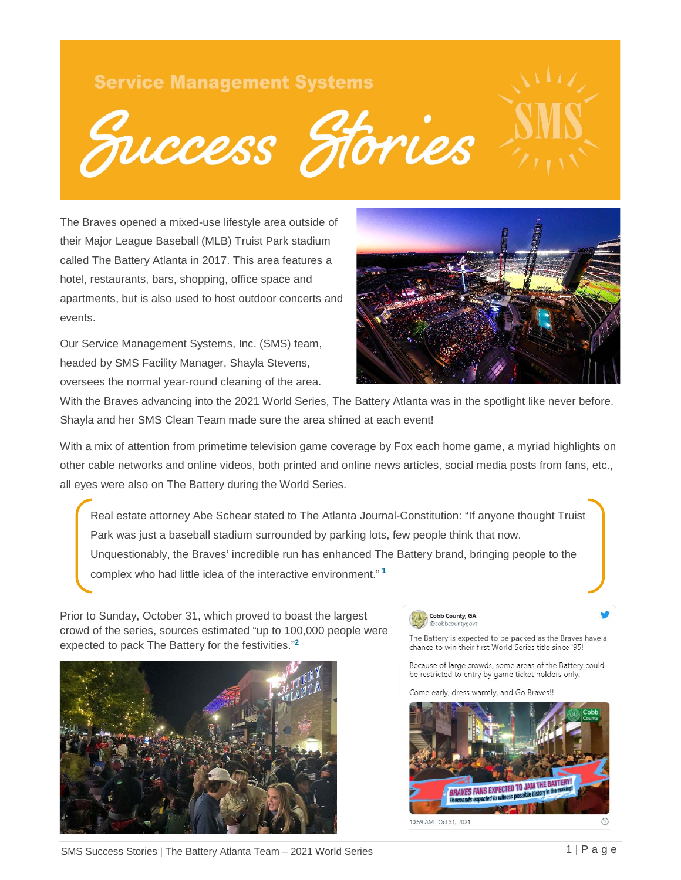# **Service Management Systems**

niccess Stories

The Braves opened a mixed-use lifestyle area outside of their Major League Baseball (MLB) Truist Park stadium called The Battery Atlanta in 2017. This area features a hotel, restaurants, bars, shopping, office space and apartments, but is also used to host outdoor concerts and events.

Our Service Management Systems, Inc. (SMS) team, headed by SMS Facility Manager, Shayla Stevens, oversees the normal year-round cleaning of the area.



With the Braves advancing into the 2021 World Series, The Battery Atlanta was in the spotlight like never before. Shayla and her SMS Clean Team made sure the area shined at each event!

With a mix of attention from primetime television game coverage by Fox each home game, a myriad highlights on other cable networks and online videos, both printed and online news articles, social media posts from fans, etc., all eyes were also on The Battery during the World Series.

Real estate attorney Abe Schear stated to The Atlanta Journal-Constitution: "If anyone thought Truist Park was just a baseball stadium surrounded by parking lots, few people think that now. Unquestionably, the Braves' incredible run has enhanced The Battery brand, bringing people to the complex who had little idea of the interactive environment." **<sup>1</sup>**

Prior to Sunday, October 31, which proved to boast the largest crowd of the series, sources estimated "up to 100,000 people were expected to pack The Battery for the festivities." **2**



#### Cobb County, GA @cobbcountygovt

The Battery is expected to be packed as the Braves have a chance to win their first World Series title since '95!

Because of large crowds, some areas of the Battery could be restricted to entry by game ticket holders only.

Come early, dress warmly, and Go Braves!!



SMS Success Stories | The Battery Atlanta Team – 2021 World Series 1 | Page 1 | Page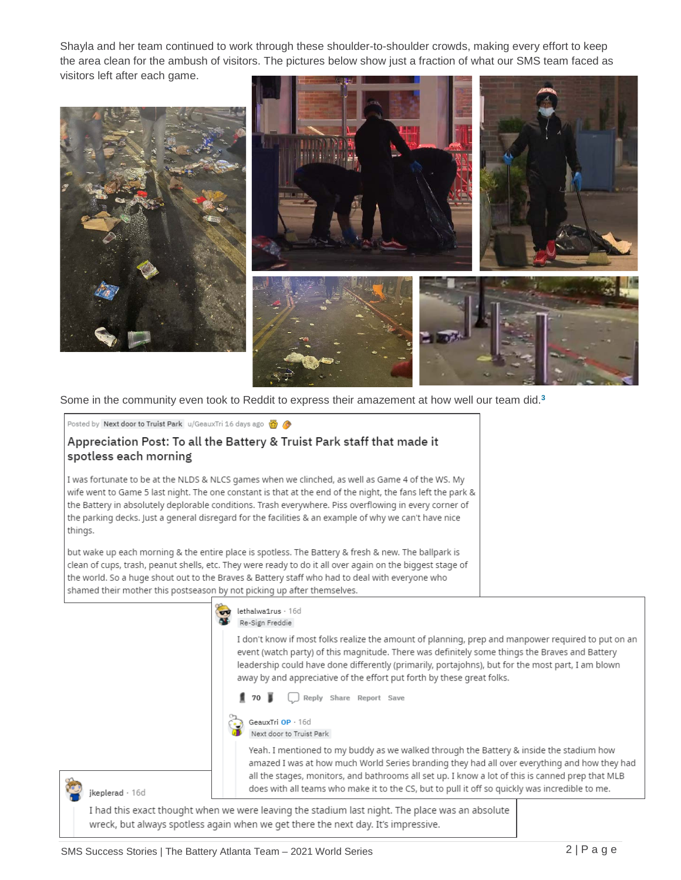Shayla and her team continued to work through these shoulder-to-shoulder crowds, making every effort to keep the area clean for the ambush of visitors. The pictures below show just a fraction of what our SMS team faced as visitors left after each game.



Some in the community even took to Reddit to express their amazement at how well our team did. **3**

### Posted by Next door to Truist Park u/GeauxTri 16 days ago

## Appreciation Post: To all the Battery & Truist Park staff that made it spotless each morning

I was fortunate to be at the NLDS & NLCS games when we clinched, as well as Game 4 of the WS. My wife went to Game 5 last night. The one constant is that at the end of the night, the fans left the park & the Battery in absolutely deplorable conditions. Trash everywhere. Piss overflowing in every corner of the parking decks. Just a general disregard for the facilities & an example of why we can't have nice things.

but wake up each morning & the entire place is spotless. The Battery & fresh & new. The ballpark is clean of cups, trash, peanut shells, etc. They were ready to do it all over again on the biggest stage of the world. So a huge shout out to the Braves & Battery staff who had to deal with everyone who shamed their mother this postseason by not picking up after themselves.

lethalwa1rus · 16d

Re-Sign Freddie I don't know if most folks realize the amount of planning, prep and manpower required to put on an event (watch party) of this magnitude. There was definitely some things the Braves and Battery leadership could have done differently (primarily, portajohns), but for the most part, I am blown away by and appreciative of the effort put forth by these great folks.

70 W Reply Share Report Save



Next door to Truist Park

Yeah. I mentioned to my buddy as we walked through the Battery & inside the stadium how amazed I was at how much World Series branding they had all over everything and how they had all the stages, monitors, and bathrooms all set up. I know a lot of this is canned prep that MLB does with all teams who make it to the CS, but to pull it off so quickly was incredible to me.

ikeplerad · 16d

I had this exact thought when we were leaving the stadium last night. The place was an absolute wreck, but always spotless again when we get there the next day. It's impressive.